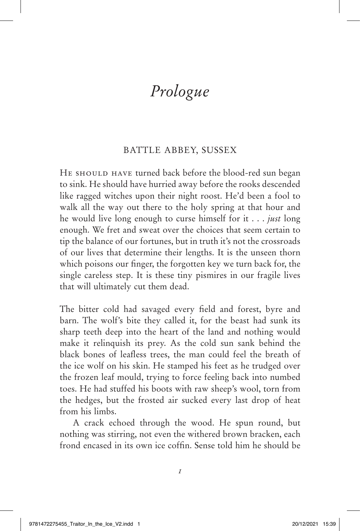## *Prologue*

## BATTLE ABBEY, SUSSEX

HE SHOULD HAVE turned back before the blood-red sun began to sink. He should have hurried away before the rooks descended like ragged witches upon their night roost. He'd been a fool to walk all the way out there to the holy spring at that hour and he would live long enough to curse himself for it . . . *just* long enough. We fret and sweat over the choices that seem certain to tip the balance of our fortunes, but in truth it's not the crossroads of our lives that determine their lengths. It is the unseen thorn which poisons our finger, the forgotten key we turn back for, the single careless step. It is these tiny pismires in our fragile lives that will ultimately cut them dead.

The bitter cold had savaged every field and forest, byre and barn. The wolf's bite they called it, for the beast had sunk its sharp teeth deep into the heart of the land and nothing would make it relinquish its prey. As the cold sun sank behind the black bones of leafless trees, the man could feel the breath of the ice wolf on his skin. He stamped his feet as he trudged over the frozen leaf mould, trying to force feeling back into numbed toes. He had stuffed his boots with raw sheep's wool, torn from the hedges, but the frosted air sucked every last drop of heat from his limbs.

A crack echoed through the wood. He spun round, but nothing was stirring, not even the withered brown bracken, each frond encased in its own ice coffin. Sense told him he should be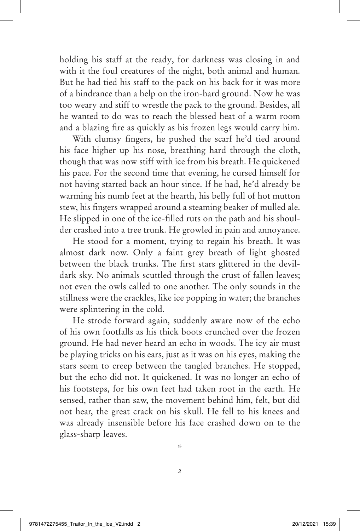holding his staff at the ready, for darkness was closing in and with it the foul creatures of the night, both animal and human. But he had tied his staff to the pack on his back for it was more of a hindrance than a help on the iron-hard ground. Now he was too weary and stiff to wrestle the pack to the ground. Besides, all he wanted to do was to reach the blessed heat of a warm room and a blazing fire as quickly as his frozen legs would carry him.

With clumsy fingers, he pushed the scarf he'd tied around his face higher up his nose, breathing hard through the cloth, though that was now stiff with ice from his breath. He quickened his pace. For the second time that evening, he cursed himself for not having started back an hour since. If he had, he'd already be warming his numb feet at the hearth, his belly full of hot mutton stew, his fingers wrapped around a steaming beaker of mulled ale. He slipped in one of the ice-filled ruts on the path and his shoulder crashed into a tree trunk. He growled in pain and annoyance.

He stood for a moment, trying to regain his breath. It was almost dark now. Only a faint grey breath of light ghosted between the black trunks. The first stars glittered in the devildark sky. No animals scuttled through the crust of fallen leaves; not even the owls called to one another. The only sounds in the stillness were the crackles, like ice popping in water; the branches were splintering in the cold.

He strode forward again, suddenly aware now of the echo of his own footfalls as his thick boots crunched over the frozen ground. He had never heard an echo in woods. The icy air must be playing tricks on his ears, just as it was on his eyes, making the stars seem to creep between the tangled branches. He stopped, but the echo did not. It quickened. It was no longer an echo of his footsteps, for his own feet had taken root in the earth. He sensed, rather than saw, the movement behind him, felt, but did not hear, the great crack on his skull. He fell to his knees and was already insensible before his face crashed down on to the glass-sharp leaves.

\*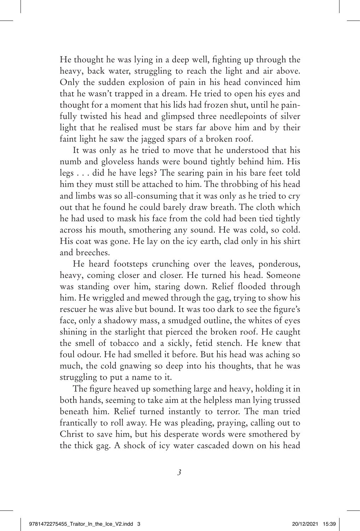He thought he was lying in a deep well, fighting up through the heavy, back water, struggling to reach the light and air above. Only the sudden explosion of pain in his head convinced him that he wasn't trapped in a dream. He tried to open his eyes and thought for a moment that his lids had frozen shut, until he painfully twisted his head and glimpsed three needlepoints of silver light that he realised must be stars far above him and by their faint light he saw the jagged spars of a broken roof.

It was only as he tried to move that he understood that his numb and gloveless hands were bound tightly behind him. His legs . . . did he have legs? The searing pain in his bare feet told him they must still be attached to him. The throbbing of his head and limbs was so all-consuming that it was only as he tried to cry out that he found he could barely draw breath. The cloth which he had used to mask his face from the cold had been tied tightly across his mouth, smothering any sound. He was cold, so cold. His coat was gone. He lay on the icy earth, clad only in his shirt and breeches.

He heard footsteps crunching over the leaves, ponderous, heavy, coming closer and closer. He turned his head. Someone was standing over him, staring down. Relief flooded through him. He wriggled and mewed through the gag, trying to show his rescuer he was alive but bound. It was too dark to see the figure's face, only a shadowy mass, a smudged outline, the whites of eyes shining in the starlight that pierced the broken roof. He caught the smell of tobacco and a sickly, fetid stench. He knew that foul odour. He had smelled it before. But his head was aching so much, the cold gnawing so deep into his thoughts, that he was struggling to put a name to it.

The figure heaved up something large and heavy, holding it in both hands, seeming to take aim at the helpless man lying trussed beneath him. Relief turned instantly to terror. The man tried frantically to roll away. He was pleading, praying, calling out to Christ to save him, but his desperate words were smothered by the thick gag. A shock of icy water cascaded down on his head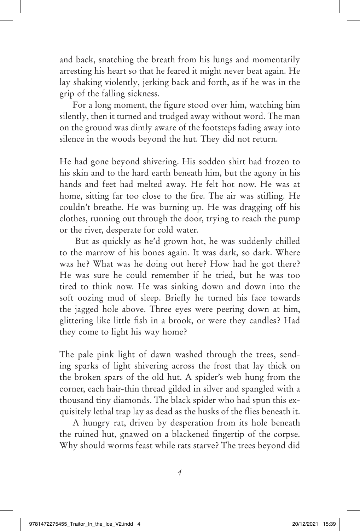and back, snatching the breath from his lungs and momentarily arresting his heart so that he feared it might never beat again. He lay shaking violently, jerking back and forth, as if he was in the grip of the falling sickness.

For a long moment, the figure stood over him, watching him silently, then it turned and trudged away without word. The man on the ground was dimly aware of the footsteps fading away into silence in the woods beyond the hut. They did not return.

He had gone beyond shivering. His sodden shirt had frozen to his skin and to the hard earth beneath him, but the agony in his hands and feet had melted away. He felt hot now. He was at home, sitting far too close to the fire. The air was stifling. He couldn't breathe. He was burning up. He was dragging off his clothes, running out through the door, trying to reach the pump or the river, desperate for cold water.

But as quickly as he'd grown hot, he was suddenly chilled to the marrow of his bones again. It was dark, so dark. Where was he? What was he doing out here? How had he got there? He was sure he could remember if he tried, but he was too tired to think now. He was sinking down and down into the soft oozing mud of sleep. Briefly he turned his face towards the jagged hole above. Three eyes were peering down at him, glittering like little fish in a brook, or were they candles? Had they come to light his way home?

The pale pink light of dawn washed through the trees, sending sparks of light shivering across the frost that lay thick on the broken spars of the old hut. A spider's web hung from the corner, each hair-thin thread gilded in silver and spangled with a thousand tiny diamonds. The black spider who had spun this exquisitely lethal trap lay as dead as the husks of the flies beneath it.

A hungry rat, driven by desperation from its hole beneath the ruined hut, gnawed on a blackened fingertip of the corpse. Why should worms feast while rats starve? The trees beyond did